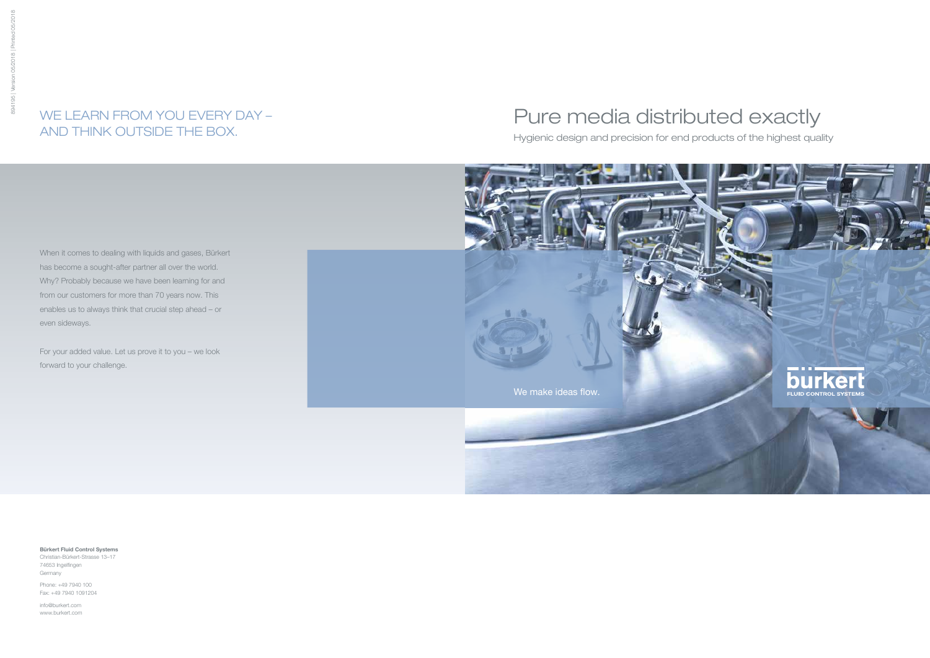When it comes to dealing with liquids and gases, Bürkert has become a sought-after partner all over the world. Why? Probably because we have been learning for and from our customers for more than 70 years now. This enables us to always think that crucial step ahead – or even sideways.

For your added value. Let us prove it to you – we look forward to your challenge.

## WE LEARN FROM YOU EVERY DAY – AND THINK OUTSIDE THE BOX.

Bürkert Fluid Control Systems Christian-Bürkert-Strasse 13–17

74653 Ingelfingen Germany

Phone: +49 7940 100 Fax: +49 7940 1091204

info@burkert.com www.burkert.com

# Pure media distributed exactly

Hygienic design and precision for end products of the highest quality

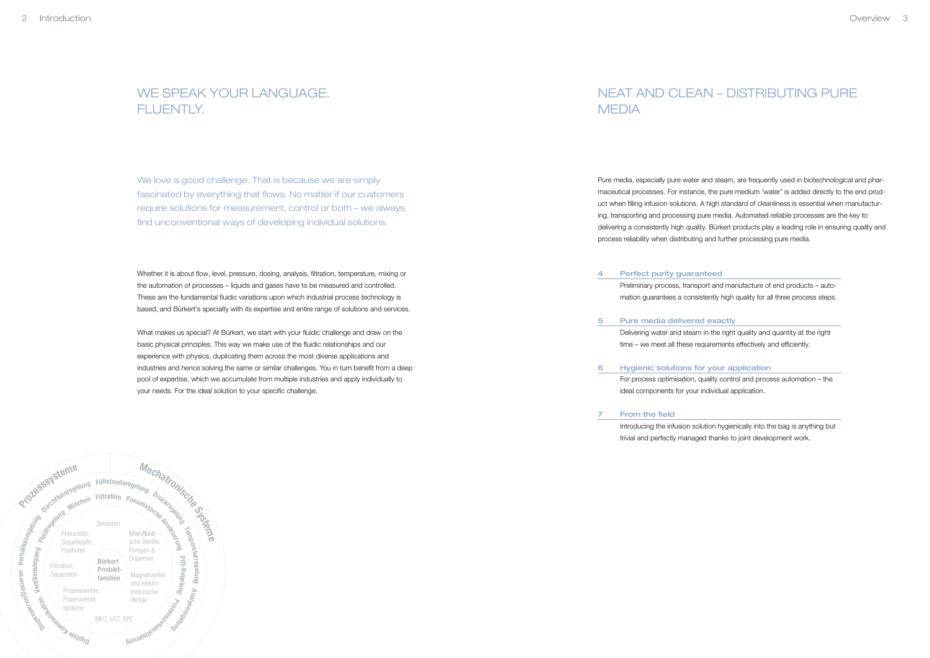

### NEAT AND CLEAN – DISTRIBUTING PURE

## WE SPEAK YOUR LANGUAGE. FLUENTLY.

We love a good challenge. That is because we are simply fascinated by everything that flows. No matter if our customers require solutions for measurement, control or both – we always find unconventional ways of developing individual solutions.

# MEDIA

Pure media, especially pure water and steam, are frequently used in biotechnological and pharmaceutical processes. For instance, the pure medium 'water' is added directly to the end product when filling infusion solutions. A high standard of cleanliness is essential when manufacturing, transporting and processing pure media. Automated reliable processes are the key to delivering a consistently high quality. Bürkert products play a leading role in ensuring quality and process reliability when distributing and further processing pure media.

Whether it is about flow, level, pressure, dosing, analysis, filtration, temperature, mixing or the automation of processes – liquids and gases have to be measured and controlled. These are the fundamental fluidic variations upon which industrial process technology is based, and Bürkert's specialty with its expertise and entire range of solutions and services.

What makes us special? At Bürkert, we start with your fluidic challenge and draw on the basic physical principles. This way we make use of the fluidic relationships and our experience with physics, duplicating them across the most diverse applications and industries and hence solving the same or similar challenges. You in turn benefit from a deep pool of expertise, which we accumulate from multiple industries and apply individually to your needs. For the ideal solution to your specific challenge.

Preliminary process, transport and manufacture of end products – automation guarantees a consistently high quality for all three process steps.

From the field

Introducing the infusion solution hygienically into the bag is anything but trivial and perfectly managed thanks to joint development work.

- Perfect purity guaranteed 4
- Pure media delivered exactly 5
- Hygienic solutions for your application 6 ideal components for your individual application.

Delivering water and steam in the right quality and quantity at the right time – we meet all these requirements effectively and efficiently.

For process optimisation, quality control and process automation – the

7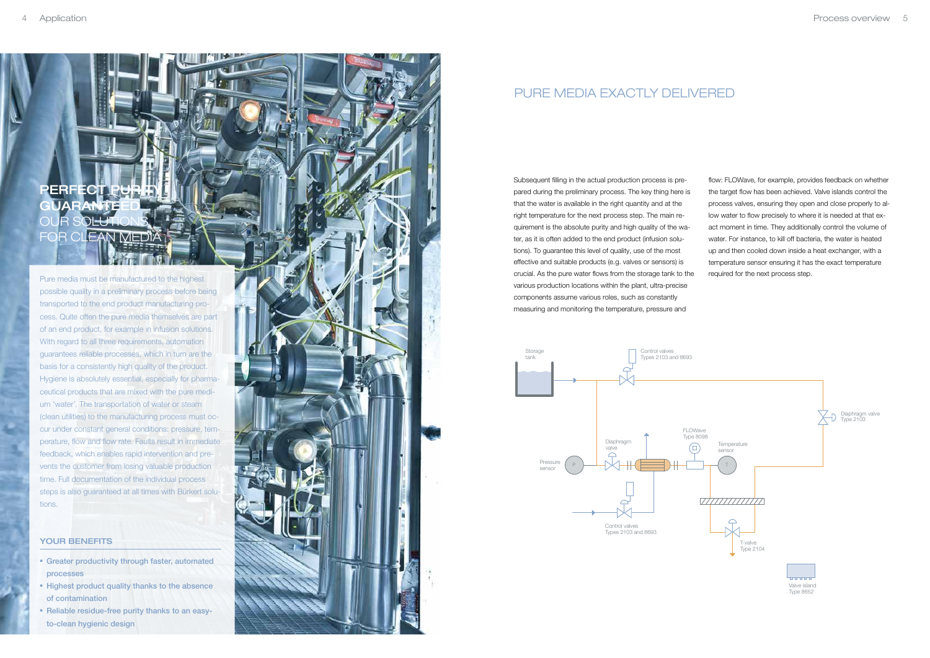## PERFECT RANTE OUR SOLUTIONS **FOR CLEAN MEDI**

Pure media must be manufactured to the highest possible quality in a preliminary process before being transported to the end product manufacturing process. Quite often the pure media themselves are part of an end product, for example in infusion solutions. With regard to all three requirements, automation guarantees reliable processes, which in turn are the basis for a consistently high quality of the product. Hygiene is absolutely essential, especially for pharmaceutical products that are mixed with the pure medium 'water'. The transportation of water or steam (clean utilities) to the manufacturing process must occur under constant general conditions: pressure, temperature, flow and flow rate. Faults result in immediate feedback, which enables rapid intervention and prevents the customer from losing valuable production time. Full documentation of the individual process steps is also guaranteed at all times with Bürkert solutions.

### YOUR BENEFITS

- Greater productivity through faster, automated processes
- Highest product quality thanks to the absence of contamination
- Reliable residue-free purity thanks to an easyto-clean hygienic design



### PURE MEDIA EXACTI Y DELIVERED

Subsequent filling in the actual production process is prepared during the preliminary process. The key thing here is that the water is available in the right quantity and at the right temperature for the next process step. The main requirement is the absolute purity and high quality of the water, as it is often added to the end product (infusion solutions). To guarantee this level of quality, use of the most effective and suitable products (e.g. valves or sensors) is crucial. As the pure water flows from the storage tank to the various production locations within the plant, ultra-precise components assume various roles, such as constantly measuring and monitoring the temperature, pressure and

flow: FLOWave, for example, provides feedback on whether the target flow has been achieved. Valve islands control the process valves, ensuring they open and close properly to allow water to flow precisely to where it is needed at that exact moment in time. They additionally control the volume of water. For instance, to kill off bacteria, the water is heated up and then cooled down inside a heat exchanger, with a temperature sensor ensuring it has the exact temperature required for the next process step.

![](_page_2_Figure_10.jpeg)